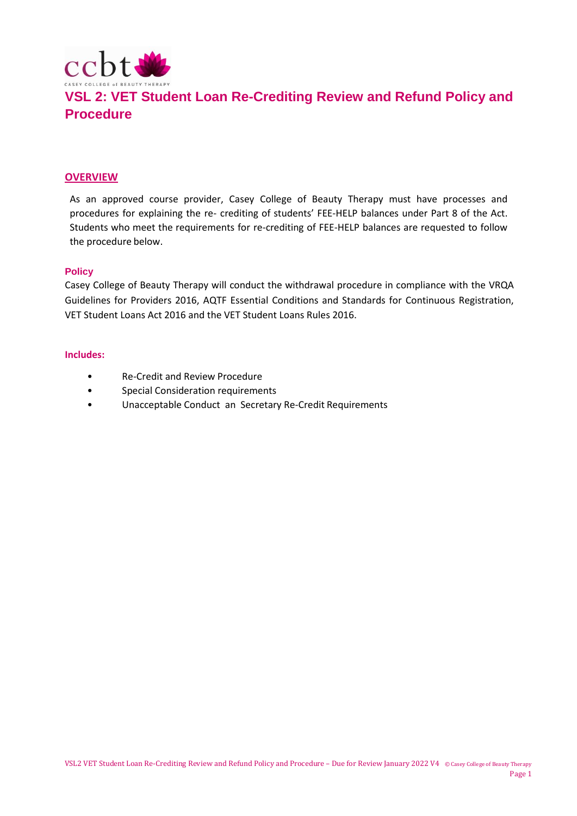

#### **OVERVIEW**

As an approved course provider, Casey College of Beauty Therapy must have processes and procedures for explaining the re- crediting of students' FEE-HELP balances under Part 8 of the Act. Students who meet the requirements for re-crediting of FEE-HELP balances are requested to follow the procedure below.

#### **Policy**

Casey College of Beauty Therapy will conduct the withdrawal procedure in compliance with the VRQA Guidelines for Providers 2016, AQTF Essential Conditions and Standards for Continuous Registration, VET Student Loans Act 2016 and the VET Student Loans Rules 2016.

#### **Includes:**

- Re-Credit and Review Procedure
- Special Consideration requirements
- Unacceptable Conduct an Secretary Re-Credit Requirements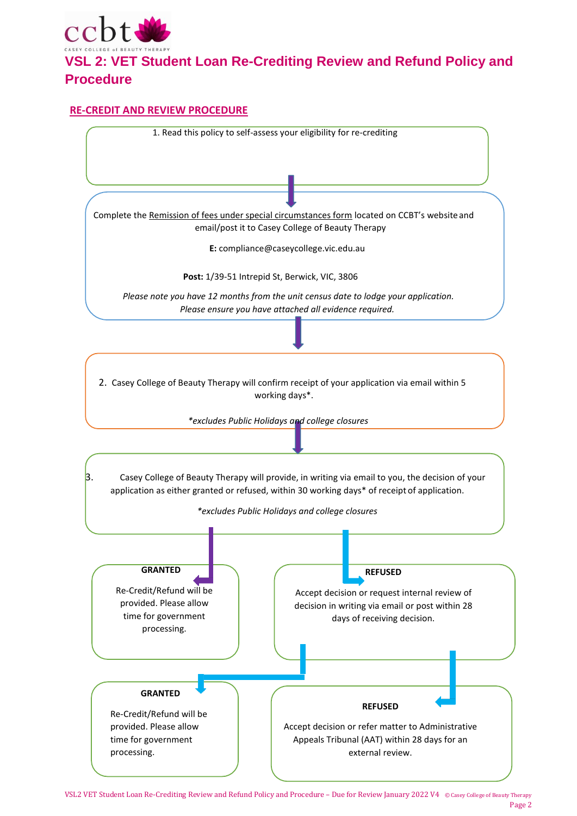

### **RE-CREDIT AND REVIEW PROCEDURE**



VSL2 VET Student Loan Re-Crediting Review and Refund Policy and Procedure – Due for Review January 2022 V4 © Casey College of Beauty Therapy Page 2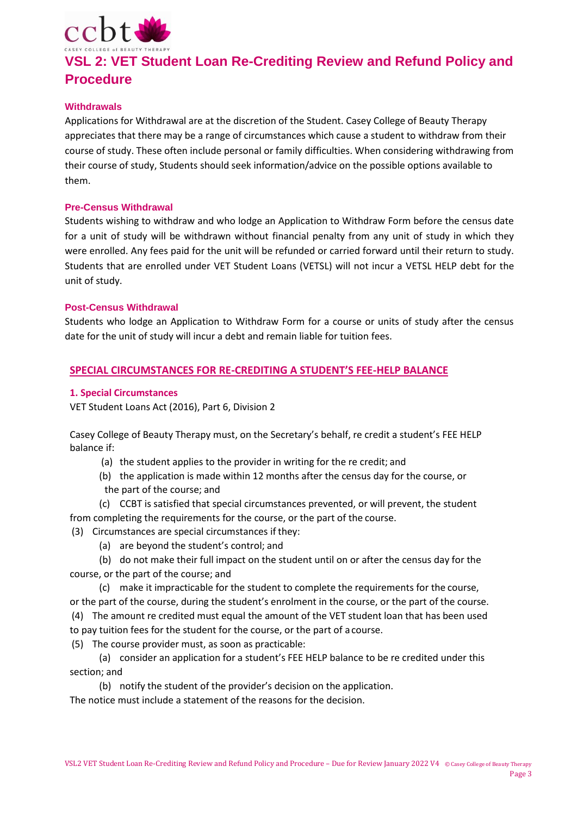

#### **Withdrawals**

Applications for Withdrawal are at the discretion of the Student. Casey College of Beauty Therapy appreciates that there may be a range of circumstances which cause a student to withdraw from their course of study. These often include personal or family difficulties. When considering withdrawing from their course of study, Students should seek information/advice on the possible options available to them.

#### **Pre-Census Withdrawal**

Students wishing to withdraw and who lodge an Application to Withdraw Form before the census date for a unit of study will be withdrawn without financial penalty from any unit of study in which they were enrolled. Any fees paid for the unit will be refunded or carried forward until their return to study. Students that are enrolled under VET Student Loans (VETSL) will not incur a VETSL HELP debt for the unit of study.

#### **Post-Census Withdrawal**

Students who lodge an Application to Withdraw Form for a course or units of study after the census date for the unit of study will incur a debt and remain liable for tuition fees.

### **SPECIAL CIRCUMSTANCES FOR RE-CREDITING A STUDENT'S FEE-HELP BALANCE**

#### **1. Special Circumstances**

VET Student Loans Act (2016), Part 6, Division 2

Casey College of Beauty Therapy must, on the Secretary's behalf, re credit a student's FEE HELP balance if:

- (a) the student applies to the provider in writing for the re credit; and
- (b) the application is made within 12 months after the census day for the course, or the part of the course; and
- (c) CCBT is satisfied that special circumstances prevented, or will prevent, the student from completing the requirements for the course, or the part of the course.
- (3) Circumstances are special circumstances if they:
	- (a) are beyond the student's control; and
- (b) do not make their full impact on the student until on or after the census day for the course, or the part of the course; and
- (c) make it impracticable for the student to complete the requirements for the course, or the part of the course, during the student's enrolment in the course, or the part of the course.
- (4) The amount re credited must equal the amount of the VET student loan that has been used to pay tuition fees for the student for the course, or the part of a course.

(5) The course provider must, as soon as practicable:

- (a) consider an application for a student's FEE HELP balance to be re credited under this section; and
	- (b) notify the student of the provider's decision on the application.

The notice must include a statement of the reasons for the decision.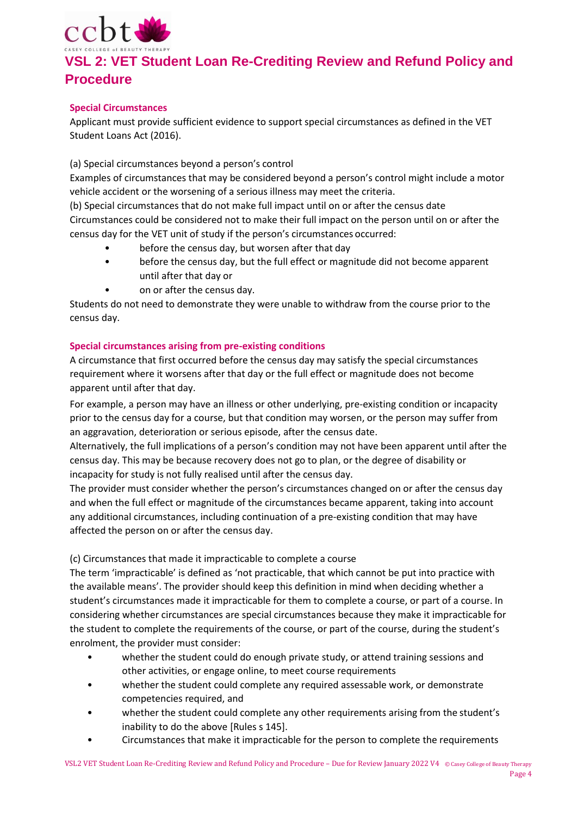

### **Special Circumstances**

Applicant must provide sufficient evidence to support special circumstances as defined in the VET Student Loans Act (2016).

(a) Special circumstances beyond a person's control

Examples of circumstances that may be considered beyond a person's control might include a motor vehicle accident or the worsening of a serious illness may meet the criteria.

(b) Special circumstances that do not make full impact until on or after the census date Circumstances could be considered not to make their full impact on the person until on or after the census day for the VET unit of study if the person's circumstances occurred:

- before the census day, but worsen after that day
- before the census day, but the full effect or magnitude did not become apparent until after that day or
- on or after the census day.

Students do not need to demonstrate they were unable to withdraw from the course prior to the census day.

### **Special circumstances arising from pre-existing conditions**

A circumstance that first occurred before the census day may satisfy the special circumstances requirement where it worsens after that day or the full effect or magnitude does not become apparent until after that day.

For example, a person may have an illness or other underlying, pre-existing condition or incapacity prior to the census day for a course, but that condition may worsen, or the person may suffer from an aggravation, deterioration or serious episode, after the census date.

Alternatively, the full implications of a person's condition may not have been apparent until after the census day. This may be because recovery does not go to plan, or the degree of disability or incapacity for study is not fully realised until after the census day.

The provider must consider whether the person's circumstances changed on or after the census day and when the full effect or magnitude of the circumstances became apparent, taking into account any additional circumstances, including continuation of a pre‐existing condition that may have affected the person on or after the census day.

### (c) Circumstances that made it impracticable to complete a course

The term 'impracticable' is defined as 'not practicable, that which cannot be put into practice with the available means'. The provider should keep this definition in mind when deciding whether a student's circumstances made it impracticable for them to complete a course, or part of a course. In considering whether circumstances are special circumstances because they make it impracticable for the student to complete the requirements of the course, or part of the course, during the student's enrolment, the provider must consider:

- whether the student could do enough private study, or attend training sessions and other activities, or engage online, to meet course requirements
- whether the student could complete any required assessable work, or demonstrate competencies required, and
- whether the student could complete any other requirements arising from the student's inability to do the above [Rules s 145].
- Circumstances that make it impracticable for the person to complete the requirements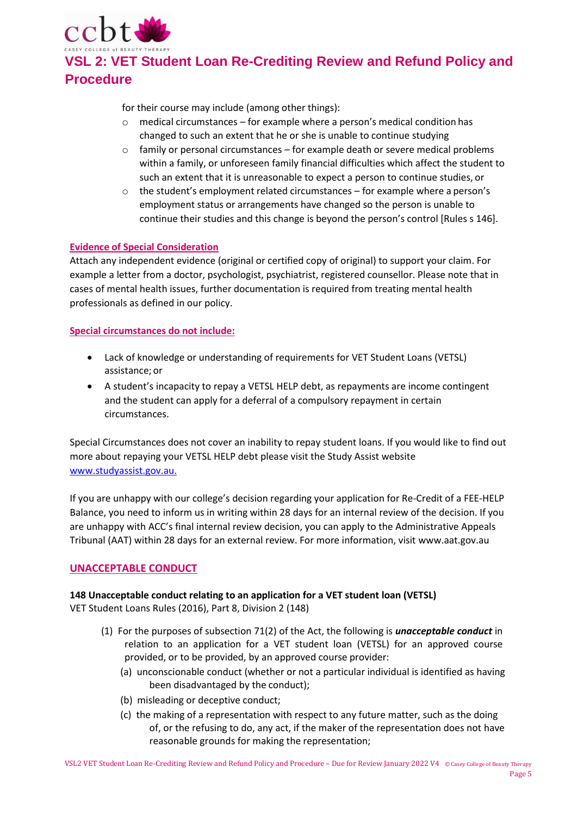

for their course may include (among other things):

- o medical circumstances for example where a person's medical condition has changed to such an extent that he or she is unable to continue studying
- $\circ$  family or personal circumstances for example death or severe medical problems within a family, or unforeseen family financial difficulties which affect the student to such an extent that it is unreasonable to expect a person to continue studies, or
- o the student's employment related circumstances for example where a person's employment status or arrangements have changed so the person is unable to continue their studies and this change is beyond the person's control [Rules s 146].

### **Evidence of Special Consideration**

Attach any independent evidence (original or certified copy of original) to support your claim. For example a letter from a doctor, psychologist, psychiatrist, registered counsellor. Please note that in cases of mental health issues, further documentation is required from treating mental health professionals as defined in our policy.

#### **Special circumstances do not include:**

- Lack of knowledge or understanding of requirements for VET Student Loans (VETSL) assistance; or
- A student's incapacity to repay a VETSL HELP debt, as repayments are income contingent and the student can apply for a deferral of a compulsory repayment in certain circumstances.

Special Circumstances does not cover an inability to repay student loans. If you would like to find out more about repaying your VETSL HELP debt please visit the Study Assist website [www.studyassist.gov.au.](http://www.studyassist.gov.au./)

If you are unhappy with our college's decision regarding your application for Re-Credit of a FEE-HELP Balance, you need to inform us in writing within 28 days for an internal review of the decision. If you are unhappy with ACC's final internal review decision, you can apply to the Administrative Appeals Tribunal (AAT) within 28 days for an external review. For more information, visit [www.aat.gov.au](http://www.aat.gov.au/)

### **UNACCEPTABLE CONDUCT**

### **148 Unacceptable conduct relating to an application for a VET student loan (VETSL)**

VET Student Loans Rules (2016), Part 8, Division 2 (148)

- (1) For the purposes of subsection 71(2) of the Act, the following is *unacceptable conduct* in relation to an application for a VET student loan (VETSL) for an approved course provided, or to be provided, by an approved course provider:
	- (a) unconscionable conduct (whether or not a particular individual is identified as having been disadvantaged by the conduct);
	- (b) misleading or deceptive conduct;
	- (c) the making of a representation with respect to any future matter, such as the doing of, or the refusing to do, any act, if the maker of the representation does not have reasonable grounds for making the representation;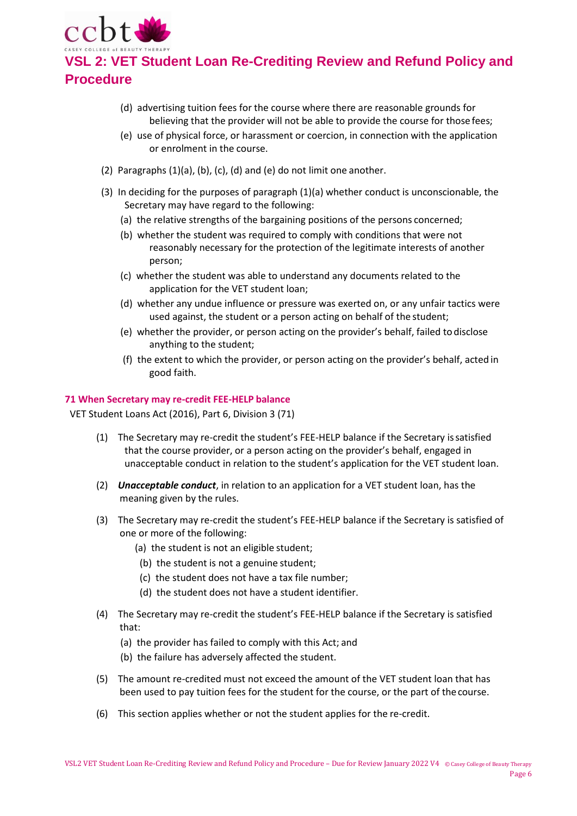

- (d) advertising tuition fees for the course where there are reasonable grounds for believing that the provider will not be able to provide the course for those fees;
- (e) use of physical force, or harassment or coercion, in connection with the application or enrolment in the course.
- (2) Paragraphs (1)(a), (b), (c), (d) and (e) do not limit one another.
- (3) In deciding for the purposes of paragraph (1)(a) whether conduct is unconscionable, the Secretary may have regard to the following:
	- (a) the relative strengths of the bargaining positions of the persons concerned;
	- (b) whether the student was required to comply with conditions that were not reasonably necessary for the protection of the legitimate interests of another person;
	- (c) whether the student was able to understand any documents related to the application for the VET student loan;
	- (d) whether any undue influence or pressure was exerted on, or any unfair tactics were used against, the student or a person acting on behalf of the student;
	- (e) whether the provider, or person acting on the provider's behalf, failed to disclose anything to the student;
	- (f) the extent to which the provider, or person acting on the provider's behalf, acted in good faith.

#### **71 When Secretary may re-credit FEE-HELP balance**

VET Student Loans Act (2016), Part 6, Division 3 (71)

- (1) The Secretary may re-credit the student's FEE-HELP balance if the Secretary issatisfied that the course provider, or a person acting on the provider's behalf, engaged in unacceptable conduct in relation to the student's application for the VET student loan.
- (2) *Unacceptable conduct*, in relation to an application for a VET student loan, has the meaning given by the rules.
- (3) The Secretary may re-credit the student's FEE-HELP balance if the Secretary is satisfied of one or more of the following:
	- (a) the student is not an eligible student;
	- (b) the student is not a genuine student;
	- (c) the student does not have a tax file number;
	- (d) the student does not have a student identifier.
- (4) The Secretary may re-credit the student's FEE-HELP balance if the Secretary is satisfied that:
	- (a) the provider has failed to comply with this Act; and
	- (b) the failure has adversely affected the student.
- (5) The amount re-credited must not exceed the amount of the VET student loan that has been used to pay tuition fees for the student for the course, or the part of thecourse.
- (6) This section applies whether or not the student applies for the re-credit.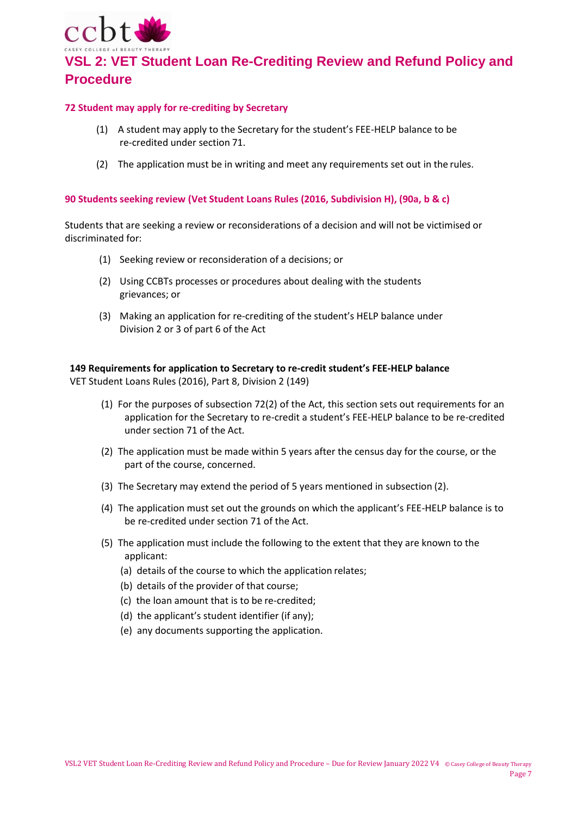

#### **72 Student may apply for re-crediting by Secretary**

- (1) A student may apply to the Secretary for the student's FEE-HELP balance to be re-credited under section 71.
- (2) The application must be in writing and meet any requirements set out in the rules.

#### **90 Students seeking review (Vet Student Loans Rules (2016, Subdivision H), (90a, b & c)**

Students that are seeking a review or reconsiderations of a decision and will not be victimised or discriminated for:

- (1) Seeking review or reconsideration of a decisions; or
- (2) Using CCBTs processes or procedures about dealing with the students grievances; or
- (3) Making an application for re-crediting of the student's HELP balance under Division 2 or 3 of part 6 of the Act

### **149 Requirements for application to Secretary to re-credit student's FEE-HELP balance**

VET Student Loans Rules (2016), Part 8, Division 2 (149)

- (1) For the purposes of subsection 72(2) of the Act, this section sets out requirements for an application for the Secretary to re-credit a student's FEE-HELP balance to be re-credited under section 71 of the Act.
- (2) The application must be made within 5 years after the census day for the course, or the part of the course, concerned.
- (3) The Secretary may extend the period of 5 years mentioned in subsection (2).
- (4) The application must set out the grounds on which the applicant's FEE-HELP balance is to be re-credited under section 71 of the Act.
- (5) The application must include the following to the extent that they are known to the applicant:
	- (a) details of the course to which the application relates;
	- (b) details of the provider of that course;
	- (c) the loan amount that is to be re-credited;
	- (d) the applicant's student identifier (if any);
	- (e) any documents supporting the application.